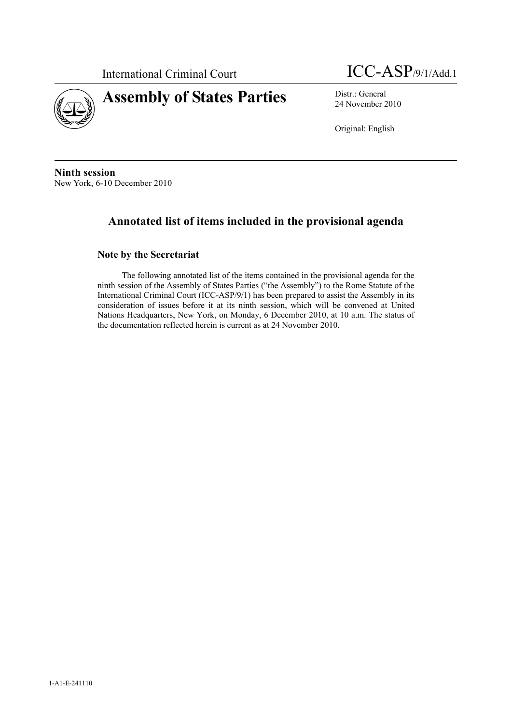

International Criminal Court ICC-ASP/9/1/Add.1

24 November 2010

Original: English

**Ninth session**  New York, 6-10 December 2010

# **Annotated list of items included in the provisional agenda**

# **Note by the Secretariat**

The following annotated list of the items contained in the provisional agenda for the ninth session of the Assembly of States Parties ("the Assembly") to the Rome Statute of the International Criminal Court (ICC-ASP/9/1) has been prepared to assist the Assembly in its consideration of issues before it at its ninth session, which will be convened at United Nations Headquarters, New York, on Monday, 6 December 2010, at 10 a.m. The status of the documentation reflected herein is current as at 24 November 2010.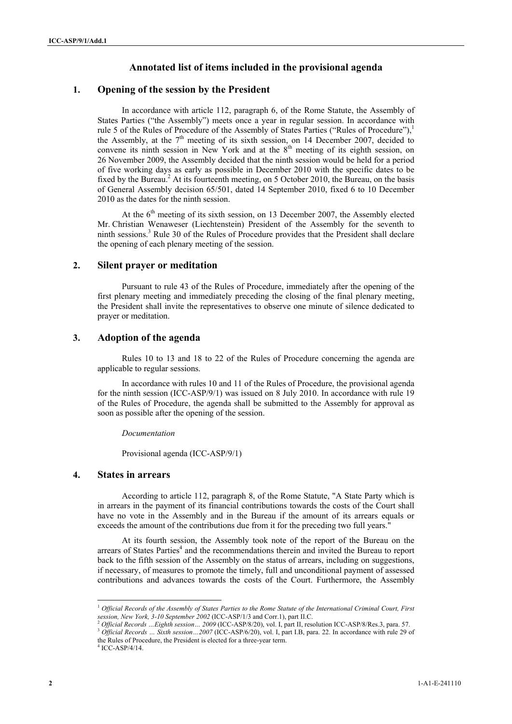### **Annotated list of items included in the provisional agenda**

### **1. Opening of the session by the President**

In accordance with article 112, paragraph 6, of the Rome Statute, the Assembly of States Parties ("the Assembly") meets once a year in regular session. In accordance with rule 5 of the Rules of Procedure of the Assembly of States Parties ("Rules of Procedure"). the Assembly, at the  $7<sup>th</sup>$  meeting of its sixth session, on 14 December 2007, decided to convene its ninth session in New York and at the  $8<sup>th</sup>$  meeting of its eighth session, on 26 November 2009, the Assembly decided that the ninth session would be held for a period of five working days as early as possible in December 2010 with the specific dates to be fixed by the Bureau.<sup>2</sup> At its fourteenth meeting, on 5 October 2010, the Bureau, on the basis of General Assembly decision 65/501, dated 14 September 2010, fixed 6 to 10 December 2010 as the dates for the ninth session.

At the  $6<sup>th</sup>$  meeting of its sixth session, on 13 December 2007, the Assembly elected Mr. Christian Wenaweser (Liechtenstein) President of the Assembly for the seventh to ninth sessions.3 Rule 30 of the Rules of Procedure provides that the President shall declare the opening of each plenary meeting of the session.

#### **2. Silent prayer or meditation**

Pursuant to rule 43 of the Rules of Procedure, immediately after the opening of the first plenary meeting and immediately preceding the closing of the final plenary meeting, the President shall invite the representatives to observe one minute of silence dedicated to prayer or meditation.

#### **3. Adoption of the agenda**

Rules 10 to 13 and 18 to 22 of the Rules of Procedure concerning the agenda are applicable to regular sessions.

In accordance with rules 10 and 11 of the Rules of Procedure, the provisional agenda for the ninth session (ICC-ASP/9/1) was issued on 8 July 2010. In accordance with rule 19 of the Rules of Procedure, the agenda shall be submitted to the Assembly for approval as soon as possible after the opening of the session.

#### *Documentation*

Provisional agenda (ICC-ASP/9/1)

#### **4. States in arrears**

According to article 112, paragraph 8, of the Rome Statute, "A State Party which is in arrears in the payment of its financial contributions towards the costs of the Court shall have no vote in the Assembly and in the Bureau if the amount of its arrears equals or exceeds the amount of the contributions due from it for the preceding two full years."

At its fourth session, the Assembly took note of the report of the Bureau on the arrears of States Parties<sup>4</sup> and the recommendations therein and invited the Bureau to report back to the fifth session of the Assembly on the status of arrears, including on suggestions, if necessary, of measures to promote the timely, full and unconditional payment of assessed contributions and advances towards the costs of the Court. Furthermore, the Assembly

 $4$  ICC-ASP/4/14.

<sup>&</sup>lt;sup>1</sup> Official Records of the Assembly of States Parties to the Rome Statute of the International Criminal Court, First *session*, New York, 3-10 September 2002 (ICC-ASP/1/3 and Corr.1), part II.C.

<sup>&</sup>lt;sup>2</sup> Official Records ... Eighth session... 2009 (ICC-ASP/8/20), vol. I, part II, resolution ICC-ASP/8/Res.3, para. 57.<br><sup>3</sup> Official Records ... Sixth session...2007 (ICC-ASP/6/20), vol. I, part I.B, para. 22. In accordanc the Rules of Procedure, the President is elected for a three-year term.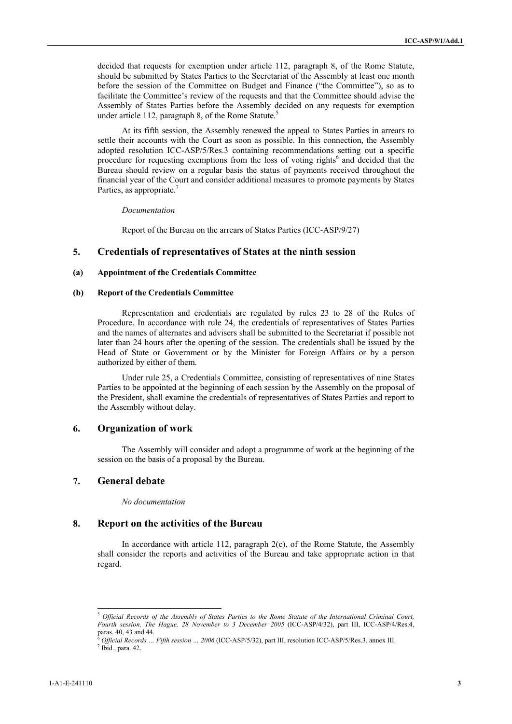decided that requests for exemption under article 112, paragraph 8, of the Rome Statute, should be submitted by States Parties to the Secretariat of the Assembly at least one month before the session of the Committee on Budget and Finance ("the Committee"), so as to facilitate the Committee's review of the requests and that the Committee should advise the Assembly of States Parties before the Assembly decided on any requests for exemption under article 112, paragraph 8, of the Rome Statute.<sup>5</sup>

At its fifth session, the Assembly renewed the appeal to States Parties in arrears to settle their accounts with the Court as soon as possible. In this connection, the Assembly adopted resolution ICC-ASP/5/Res.3 containing recommendations setting out a specific procedure for requesting exemptions from the loss of voting rights<sup>6</sup> and decided that the Bureau should review on a regular basis the status of payments received throughout the financial year of the Court and consider additional measures to promote payments by States Parties, as appropriate.<sup>7</sup>

*Documentation* 

Report of the Bureau on the arrears of States Parties (ICC-ASP/9/27)

#### **5. Credentials of representatives of States at the ninth session**

#### **(a) Appointment of the Credentials Committee**

#### **(b) Report of the Credentials Committee**

Representation and credentials are regulated by rules 23 to 28 of the Rules of Procedure. In accordance with rule 24, the credentials of representatives of States Parties and the names of alternates and advisers shall be submitted to the Secretariat if possible not later than 24 hours after the opening of the session. The credentials shall be issued by the Head of State or Government or by the Minister for Foreign Affairs or by a person authorized by either of them.

Under rule 25, a Credentials Committee, consisting of representatives of nine States Parties to be appointed at the beginning of each session by the Assembly on the proposal of the President, shall examine the credentials of representatives of States Parties and report to the Assembly without delay.

#### **6. Organization of work**

The Assembly will consider and adopt a programme of work at the beginning of the session on the basis of a proposal by the Bureau.

### **7. General debate**

*No documentation* 

#### **8. Report on the activities of the Bureau**

In accordance with article 112, paragraph 2(c), of the Rome Statute, the Assembly shall consider the reports and activities of the Bureau and take appropriate action in that regard.

<sup>5</sup> *Official Records of the Assembly of States Parties to the Rome Statute of the International Criminal Court, Fourth session, The Hague, 28 November to 3 December 2005* (ICC-ASP/4/32), part III, ICC-ASP/4/Res.4, paras. 40, 43 and 44.

<sup>6</sup> *Official Records … Fifth session … 2006* (ICC-ASP/5/32), part III, resolution ICC-ASP/5/Res.3, annex III. 7  $7$  Ibid., para. 42.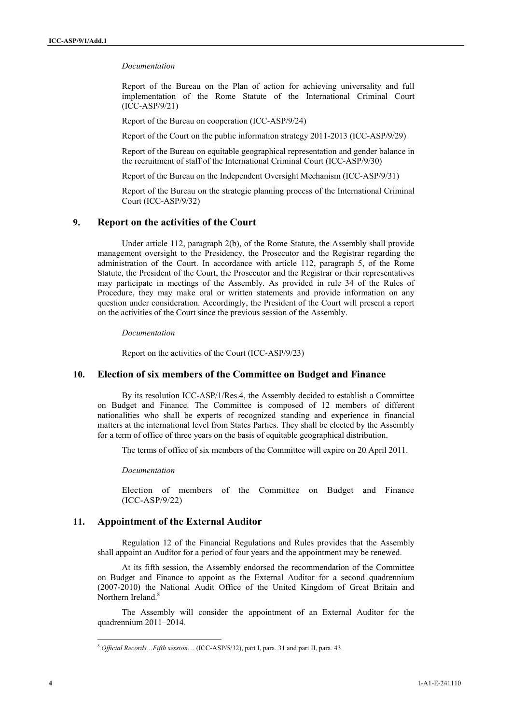#### *Documentation*

Report of the Bureau on the Plan of action for achieving universality and full implementation of the Rome Statute of the International Criminal Court (ICC-ASP/9/21)

Report of the Bureau on cooperation (ICC-ASP/9/24)

Report of the Court on the public information strategy 2011-2013 (ICC-ASP/9/29)

Report of the Bureau on equitable geographical representation and gender balance in the recruitment of staff of the International Criminal Court (ICC-ASP/9/30)

Report of the Bureau on the Independent Oversight Mechanism (ICC-ASP/9/31)

Report of the Bureau on the strategic planning process of the International Criminal Court (ICC-ASP/9/32)

### **9. Report on the activities of the Court**

Under article 112, paragraph 2(b), of the Rome Statute, the Assembly shall provide management oversight to the Presidency, the Prosecutor and the Registrar regarding the administration of the Court. In accordance with article 112, paragraph 5, of the Rome Statute, the President of the Court, the Prosecutor and the Registrar or their representatives may participate in meetings of the Assembly. As provided in rule 34 of the Rules of Procedure, they may make oral or written statements and provide information on any question under consideration. Accordingly, the President of the Court will present a report on the activities of the Court since the previous session of the Assembly.

*Documentation* 

Report on the activities of the Court (ICC-ASP/9/23)

### **10. Election of six members of the Committee on Budget and Finance**

By its resolution ICC-ASP/1/Res.4, the Assembly decided to establish a Committee on Budget and Finance. The Committee is composed of 12 members of different nationalities who shall be experts of recognized standing and experience in financial matters at the international level from States Parties. They shall be elected by the Assembly for a term of office of three years on the basis of equitable geographical distribution.

The terms of office of six members of the Committee will expire on 20 April 2011.

*Documentation* 

Election of members of the Committee on Budget and Finance (ICC-ASP/9/22)

### **11. Appointment of the External Auditor**

Regulation 12 of the Financial Regulations and Rules provides that the Assembly shall appoint an Auditor for a period of four years and the appointment may be renewed.

At its fifth session, the Assembly endorsed the recommendation of the Committee on Budget and Finance to appoint as the External Auditor for a second quadrennium (2007-2010) the National Audit Office of the United Kingdom of Great Britain and Northern Ireland.<sup>8</sup>

The Assembly will consider the appointment of an External Auditor for the quadrennium 2011–2014.

<sup>8</sup> *Official Records…Fifth session*… (ICC-ASP/5/32), part I, para. 31 and part II, para. 43.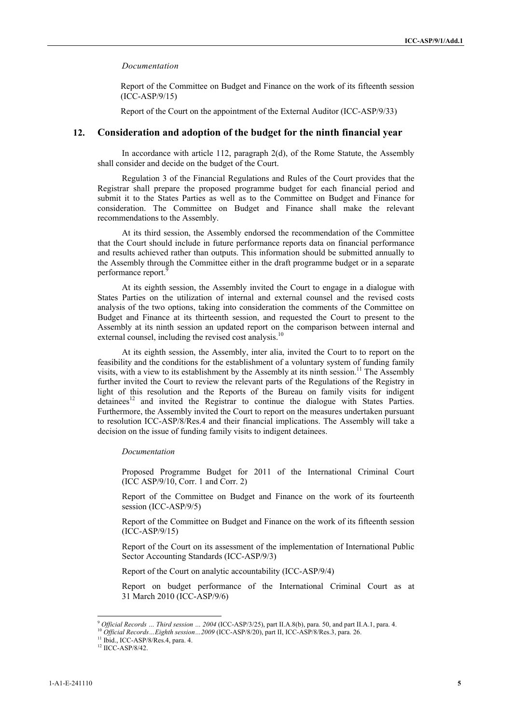#### *Documentation*

Report of the Committee on Budget and Finance on the work of its fifteenth session (ICC-ASP/9/15)

Report of the Court on the appointment of the External Auditor (ICC-ASP/9/33)

#### **12. Consideration and adoption of the budget for the ninth financial year**

In accordance with article 112, paragraph 2(d), of the Rome Statute, the Assembly shall consider and decide on the budget of the Court.

Regulation 3 of the Financial Regulations and Rules of the Court provides that the Registrar shall prepare the proposed programme budget for each financial period and submit it to the States Parties as well as to the Committee on Budget and Finance for consideration. The Committee on Budget and Finance shall make the relevant recommendations to the Assembly.

At its third session, the Assembly endorsed the recommendation of the Committee that the Court should include in future performance reports data on financial performance and results achieved rather than outputs. This information should be submitted annually to the Assembly through the Committee either in the draft programme budget or in a separate performance report.<sup>9</sup>

At its eighth session, the Assembly invited the Court to engage in a dialogue with States Parties on the utilization of internal and external counsel and the revised costs analysis of the two options, taking into consideration the comments of the Committee on Budget and Finance at its thirteenth session, and requested the Court to present to the Assembly at its ninth session an updated report on the comparison between internal and external counsel, including the revised cost analysis.<sup>10</sup>

At its eighth session, the Assembly, inter alia, invited the Court to to report on the feasibility and the conditions for the establishment of a voluntary system of funding family visits, with a view to its establishment by the Assembly at its ninth session.<sup>11</sup> The Assembly further invited the Court to review the relevant parts of the Regulations of the Registry in light of this resolution and the Reports of the Bureau on family visits for indigent  $d$  detainees<sup>12</sup> and invited the Registrar to continue the dialogue with States Parties. Furthermore, the Assembly invited the Court to report on the measures undertaken pursuant to resolution ICC-ASP/8/Res.4 and their financial implications. The Assembly will take a decision on the issue of funding family visits to indigent detainees.

#### *Documentation*

Proposed Programme Budget for 2011 of the International Criminal Court (ICC ASP/9/10, Corr. 1 and Corr. 2)

Report of the Committee on Budget and Finance on the work of its fourteenth session (ICC-ASP/9/5)

Report of the Committee on Budget and Finance on the work of its fifteenth session (ICC-ASP/9/15)

Report of the Court on its assessment of the implementation of International Public Sector Accounting Standards (ICC-ASP/9/3)

Report of the Court on analytic accountability (ICC-ASP/9/4)

Report on budget performance of the International Criminal Court as at 31 March 2010 (ICC-ASP/9/6)

<sup>&</sup>lt;sup>9</sup> Official Records ... Third session ... 2004 (ICC-ASP/3/25), part II.A.8(b), para. 50, and part II.A.1, para. 4.<br><sup>10</sup> Official Records ... Eighth session ... 2009 (ICC-ASP/8/20), part II, ICC-ASP/8/Res.3, para. 26.<br><sup>11</sup>

<sup>&</sup>lt;sup>12</sup> IICC-ASP/8/42.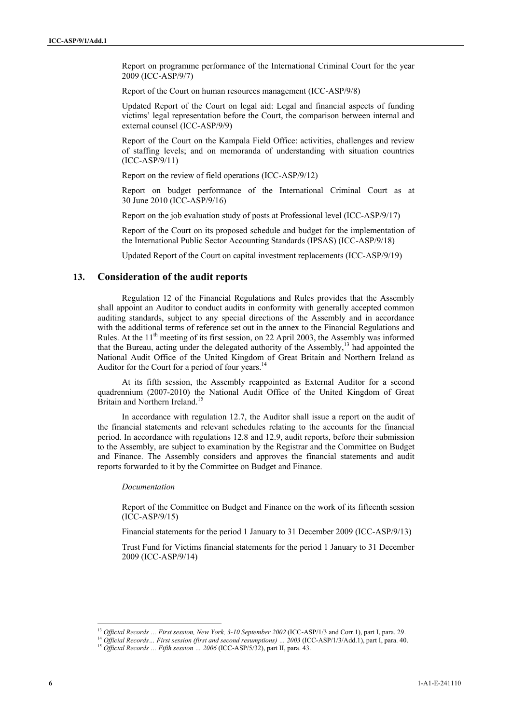Report on programme performance of the International Criminal Court for the year 2009 (ICC-ASP/9/7)

Report of the Court on human resources management (ICC-ASP/9/8)

Updated Report of the Court on legal aid: Legal and financial aspects of funding victims' legal representation before the Court, the comparison between internal and external counsel (ICC-ASP/9/9)

Report of the Court on the Kampala Field Office: activities, challenges and review of staffing levels; and on memoranda of understanding with situation countries (ICC-ASP/9/11)

Report on the review of field operations (ICC-ASP/9/12)

Report on budget performance of the International Criminal Court as at 30 June 2010 (ICC-ASP/9/16)

Report on the job evaluation study of posts at Professional level (ICC-ASP/9/17)

Report of the Court on its proposed schedule and budget for the implementation of the International Public Sector Accounting Standards (IPSAS) (ICC-ASP/9/18)

Updated Report of the Court on capital investment replacements (ICC-ASP/9/19)

### **13. Consideration of the audit reports**

Regulation 12 of the Financial Regulations and Rules provides that the Assembly shall appoint an Auditor to conduct audits in conformity with generally accepted common auditing standards, subject to any special directions of the Assembly and in accordance with the additional terms of reference set out in the annex to the Financial Regulations and Rules. At the 11<sup>th</sup> meeting of its first session, on 22 April 2003, the Assembly was informed that the Bureau, acting under the delegated authority of the Assembly,<sup>13</sup> had appointed the National Audit Office of the United Kingdom of Great Britain and Northern Ireland as Auditor for the Court for a period of four years.<sup>14</sup>

At its fifth session, the Assembly reappointed as External Auditor for a second quadrennium (2007-2010) the National Audit Office of the United Kingdom of Great Britain and Northern Ireland.<sup>15</sup>

In accordance with regulation 12.7, the Auditor shall issue a report on the audit of the financial statements and relevant schedules relating to the accounts for the financial period. In accordance with regulations 12.8 and 12.9, audit reports, before their submission to the Assembly, are subject to examination by the Registrar and the Committee on Budget and Finance. The Assembly considers and approves the financial statements and audit reports forwarded to it by the Committee on Budget and Finance.

#### *Documentation*

Report of the Committee on Budget and Finance on the work of its fifteenth session (ICC-ASP/9/15)

Financial statements for the period 1 January to 31 December 2009 (ICC-ASP/9/13)

Trust Fund for Victims financial statements for the period 1 January to 31 December 2009 (ICC-ASP/9/14)

<sup>&</sup>lt;sup>13</sup> Official Records ... First session, New York, 3-10 September 2002 (ICC-ASP/1/3 and Corr.1), part I, para. 29.

<sup>&</sup>lt;sup>14</sup> Official Records... First session (first and second resumptions) ...  $2003$  (ICC-ASP/1/3/Add.1), part I, para. 40.<br><sup>15</sup> Official Records ... Fifth session ... 2006 (ICC-ASP/5/32), part II, para. 43.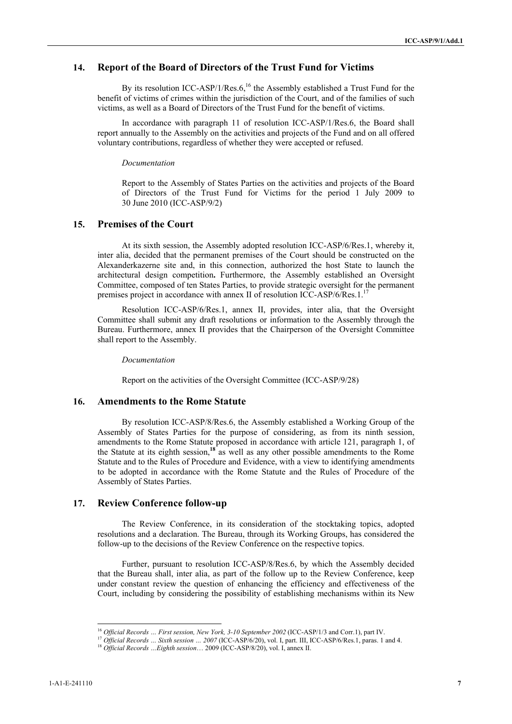### **14. Report of the Board of Directors of the Trust Fund for Victims**

By its resolution ICC-ASP/1/Res.6,<sup>16</sup> the Assembly established a Trust Fund for the benefit of victims of crimes within the jurisdiction of the Court, and of the families of such victims, as well as a Board of Directors of the Trust Fund for the benefit of victims.

In accordance with paragraph 11 of resolution ICC-ASP/1/Res.6, the Board shall report annually to the Assembly on the activities and projects of the Fund and on all offered voluntary contributions, regardless of whether they were accepted or refused.

#### *Documentation*

Report to the Assembly of States Parties on the activities and projects of the Board of Directors of the Trust Fund for Victims for the period 1 July 2009 to 30 June 2010 (ICC-ASP/9/2)

### **15. Premises of the Court**

At its sixth session, the Assembly adopted resolution ICC-ASP/6/Res.1, whereby it, inter alia, decided that the permanent premises of the Court should be constructed on the Alexanderkazerne site and, in this connection, authorized the host State to launch the architectural design competition**.** Furthermore, the Assembly established an Oversight Committee, composed of ten States Parties, to provide strategic oversight for the permanent premises project in accordance with annex II of resolution ICC-ASP/6/Res.1.<sup>17</sup>

Resolution ICC-ASP/6/Res.1, annex II, provides, inter alia, that the Oversight Committee shall submit any draft resolutions or information to the Assembly through the Bureau. Furthermore, annex II provides that the Chairperson of the Oversight Committee shall report to the Assembly.

*Documentation* 

Report on the activities of the Oversight Committee (ICC-ASP/9/28)

### **16. Amendments to the Rome Statute**

By resolution ICC-ASP/8/Res.6, the Assembly established a Working Group of the Assembly of States Parties for the purpose of considering, as from its ninth session, amendments to the Rome Statute proposed in accordance with article 121, paragraph 1, of the Statute at its eighth session,**<sup>18</sup>** as well as any other possible amendments to the Rome Statute and to the Rules of Procedure and Evidence, with a view to identifying amendments to be adopted in accordance with the Rome Statute and the Rules of Procedure of the Assembly of States Parties.

### **17. Review Conference follow-up**

The Review Conference, in its consideration of the stocktaking topics, adopted resolutions and a declaration. The Bureau, through its Working Groups, has considered the follow-up to the decisions of the Review Conference on the respective topics.

 Further, pursuant to resolution ICC-ASP/8/Res.6, by which the Assembly decided that the Bureau shall, inter alia, as part of the follow up to the Review Conference, keep under constant review the question of enhancing the efficiency and effectiveness of the Court, including by considering the possibility of establishing mechanisms within its New

<sup>&</sup>lt;sup>16</sup> Official Records ... First session, New York, 3-10 September 2002 (ICC-ASP/1/3 and Corr.1), part IV.

<sup>&</sup>lt;sup>17</sup> Official Records ... Sixth session ... 2007 (ICC-ASP/6/20), vol. I, part. III, ICC-ASP/6/Res.1, paras. 1 and 4.<br><sup>18</sup> Official Records ... Eighth session ... 2009 (ICC-ASP/8/20), vol. I, annex II.